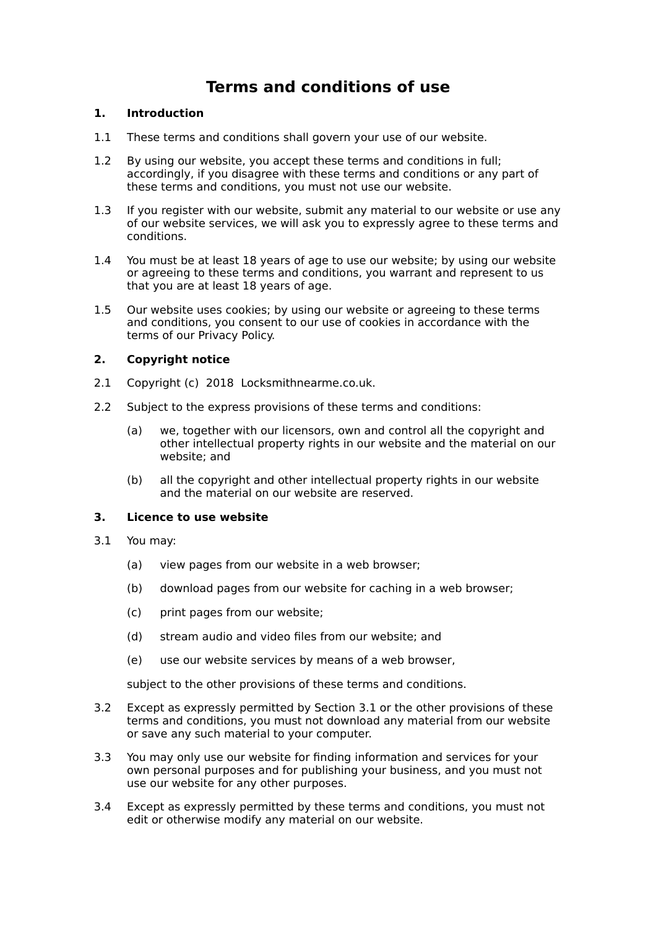# **Terms and conditions of use**

# **1. Introduction**

- 1.1 These terms and conditions shall govern your use of our website.
- 1.2 By using our website, you accept these terms and conditions in full; accordingly, if you disagree with these terms and conditions or any part of these terms and conditions, you must not use our website.
- 1.3 If you register with our website, submit any material to our website or use any of our website services, we will ask you to expressly agree to these terms and conditions.
- 1.4 You must be at least 18 years of age to use our website; by using our website or agreeing to these terms and conditions, you warrant and represent to us that you are at least 18 years of age.
- 1.5 Our website uses cookies; by using our website or agreeing to these terms and conditions, you consent to our use of cookies in accordance with the terms of our Privacy Policy.

# **2. Copyright notice**

- 2.1 Copyright (c) 2018 Locksmithnearme.co.uk.
- 2.2 Subject to the express provisions of these terms and conditions:
	- (a) we, together with our licensors, own and control all the copyright and other intellectual property rights in our website and the material on our website; and
	- (b) all the copyright and other intellectual property rights in our website and the material on our website are reserved.

## **3. Licence to use website**

- 3.1 You may:
	- (a) view pages from our website in a web browser;
	- (b) download pages from our website for caching in a web browser;
	- (c) print pages from our website;
	- (d) stream audio and video files from our website; and
	- (e) use our website services by means of a web browser,

subject to the other provisions of these terms and conditions.

- 3.2 Except as expressly permitted by Section 3.1 or the other provisions of these terms and conditions, you must not download any material from our website or save any such material to your computer.
- 3.3 You may only use our website for finding information and services for your own personal purposes and for publishing your business, and you must not use our website for any other purposes.
- 3.4 Except as expressly permitted by these terms and conditions, you must not edit or otherwise modify any material on our website.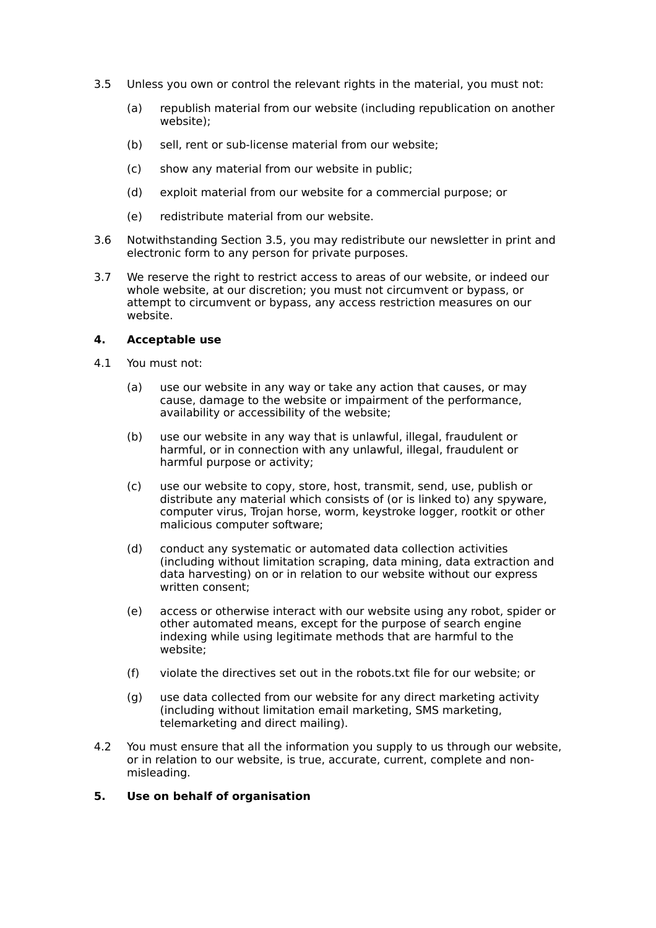- 3.5 Unless you own or control the relevant rights in the material, you must not:
	- (a) republish material from our website (including republication on another website);
	- (b) sell, rent or sub-license material from our website;
	- (c) show any material from our website in public;
	- (d) exploit material from our website for a commercial purpose; or
	- (e) redistribute material from our website.
- 3.6 Notwithstanding Section 3.5, you may redistribute our newsletter in print and electronic form to any person for private purposes.
- 3.7 We reserve the right to restrict access to areas of our website, or indeed our whole website, at our discretion; you must not circumvent or bypass, or attempt to circumvent or bypass, any access restriction measures on our website.

#### **4. Acceptable use**

- 4.1 You must not:
	- (a) use our website in any way or take any action that causes, or may cause, damage to the website or impairment of the performance, availability or accessibility of the website;
	- (b) use our website in any way that is unlawful, illegal, fraudulent or harmful, or in connection with any unlawful, illegal, fraudulent or harmful purpose or activity;
	- (c) use our website to copy, store, host, transmit, send, use, publish or distribute any material which consists of (or is linked to) any spyware, computer virus, Trojan horse, worm, keystroke logger, rootkit or other malicious computer software;
	- (d) conduct any systematic or automated data collection activities (including without limitation scraping, data mining, data extraction and data harvesting) on or in relation to our website without our express written consent;
	- (e) access or otherwise interact with our website using any robot, spider or other automated means, except for the purpose of search engine indexing while using legitimate methods that are harmful to the website;
	- (f) violate the directives set out in the robots.txt file for our website; or
	- (g) use data collected from our website for any direct marketing activity (including without limitation email marketing, SMS marketing, telemarketing and direct mailing).
- 4.2 You must ensure that all the information you supply to us through our website, or in relation to our website, is true, accurate, current, complete and nonmisleading.

## **5. Use on behalf of organisation**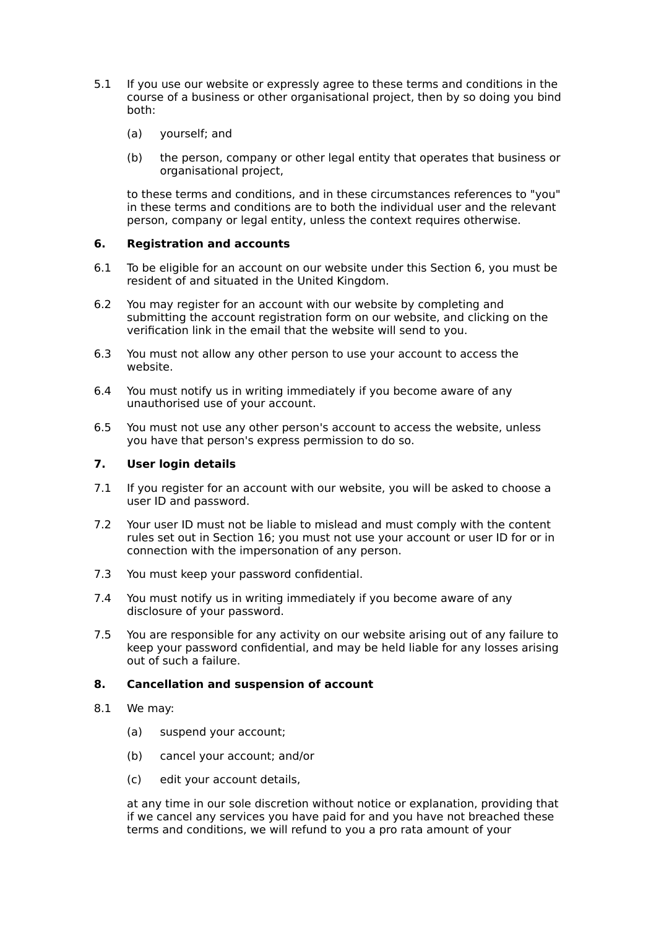- 5.1 If you use our website or expressly agree to these terms and conditions in the course of a business or other organisational project, then by so doing you bind both:
	- (a) yourself; and
	- (b) the person, company or other legal entity that operates that business or organisational project,

to these terms and conditions, and in these circumstances references to "you" in these terms and conditions are to both the individual user and the relevant person, company or legal entity, unless the context requires otherwise.

## **6. Registration and accounts**

- 6.1 To be eligible for an account on our website under this Section 6, you must be resident of and situated in the United Kingdom.
- 6.2 You may register for an account with our website by completing and submitting the account registration form on our website, and clicking on the verification link in the email that the website will send to you.
- 6.3 You must not allow any other person to use your account to access the website.
- 6.4 You must notify us in writing immediately if you become aware of any unauthorised use of your account.
- 6.5 You must not use any other person's account to access the website, unless you have that person's express permission to do so.

## **7. User login details**

- 7.1 If you register for an account with our website, you will be asked to choose a user ID and password.
- 7.2 Your user ID must not be liable to mislead and must comply with the content rules set out in Section 16; you must not use your account or user ID for or in connection with the impersonation of any person.
- 7.3 You must keep your password confidential.
- 7.4 You must notify us in writing immediately if you become aware of any disclosure of your password.
- 7.5 You are responsible for any activity on our website arising out of any failure to keep your password confidential, and may be held liable for any losses arising out of such a failure.

## **8. Cancellation and suspension of account**

- 8.1 We may:
	- (a) suspend your account;
	- (b) cancel your account; and/or
	- (c) edit your account details,

at any time in our sole discretion without notice or explanation, providing that if we cancel any services you have paid for and you have not breached these terms and conditions, we will refund to you a pro rata amount of your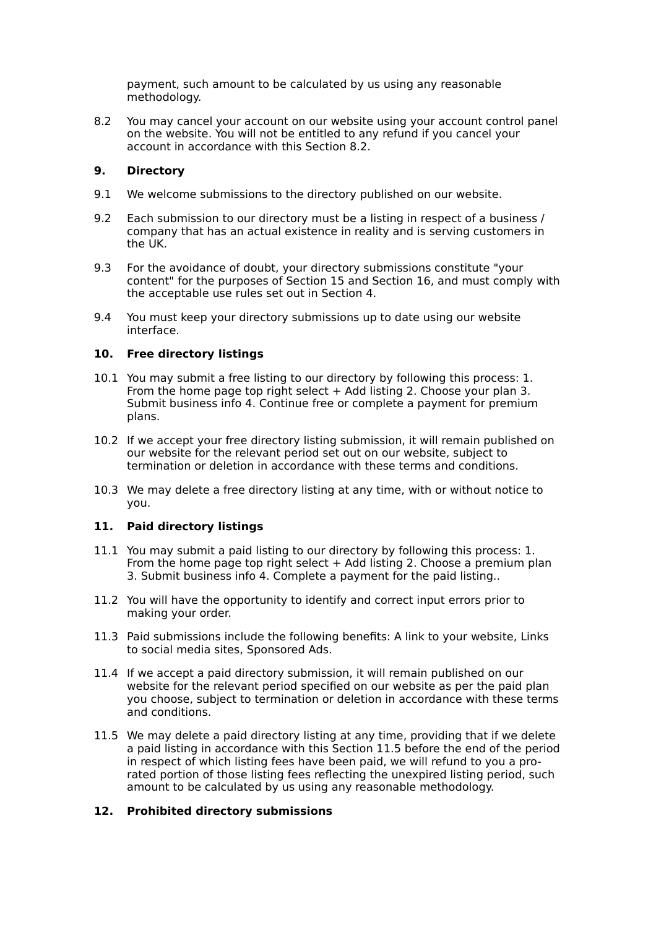payment, such amount to be calculated by us using any reasonable methodology.

8.2 You may cancel your account on our website using your account control panel on the website. You will not be entitled to any refund if you cancel your account in accordance with this Section 8.2.

# **9. Directory**

- 9.1 We welcome submissions to the directory published on our website.
- 9.2 Each submission to our directory must be a listing in respect of a business / company that has an actual existence in reality and is serving customers in the UK.
- 9.3 For the avoidance of doubt, your directory submissions constitute "your content" for the purposes of Section 15 and Section 16, and must comply with the acceptable use rules set out in Section 4.
- 9.4 You must keep your directory submissions up to date using our website interface.

# **10. Free directory listings**

- 10.1 You may submit a free listing to our directory by following this process: 1. From the home page top right select  $+$  Add listing 2. Choose your plan 3. Submit business info 4. Continue free or complete a payment for premium plans.
- 10.2 If we accept your free directory listing submission, it will remain published on our website for the relevant period set out on our website, subject to termination or deletion in accordance with these terms and conditions.
- 10.3 We may delete a free directory listing at any time, with or without notice to you.

## **11. Paid directory listings**

- 11.1 You may submit a paid listing to our directory by following this process: 1. From the home page top right select  $+$  Add listing 2. Choose a premium plan 3. Submit business info 4. Complete a payment for the paid listing..
- 11.2 You will have the opportunity to identify and correct input errors prior to making your order.
- 11.3 Paid submissions include the following benefits: A link to your website, Links to social media sites, Sponsored Ads.
- 11.4 If we accept a paid directory submission, it will remain published on our website for the relevant period specified on our website as per the paid plan you choose, subject to termination or deletion in accordance with these terms and conditions.
- 11.5 We may delete a paid directory listing at any time, providing that if we delete a paid listing in accordance with this Section 11.5 before the end of the period in respect of which listing fees have been paid, we will refund to you a prorated portion of those listing fees reflecting the unexpired listing period, such amount to be calculated by us using any reasonable methodology.

## **12. Prohibited directory submissions**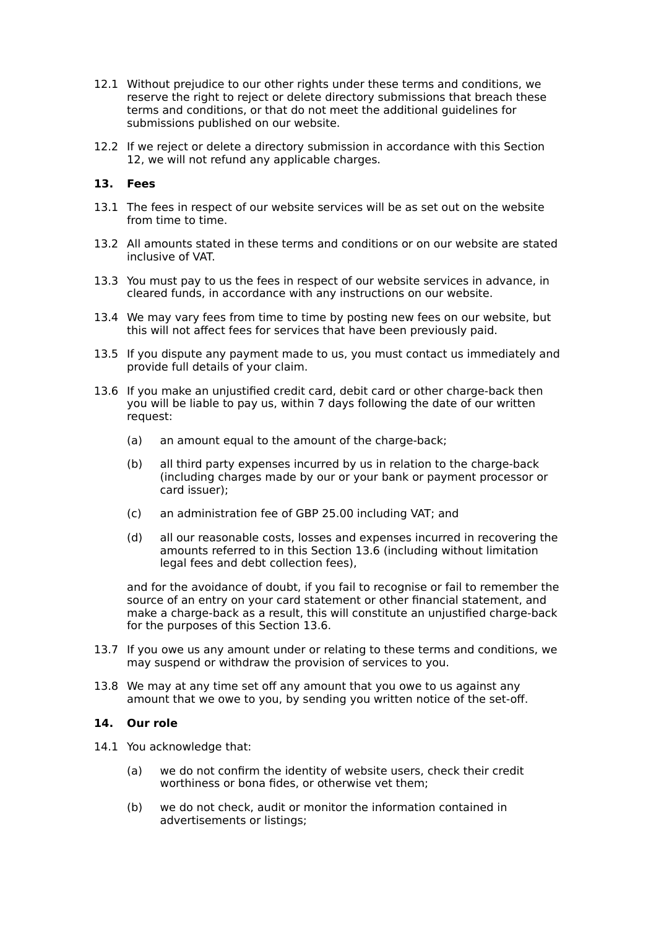- 12.1 Without prejudice to our other rights under these terms and conditions, we reserve the right to reject or delete directory submissions that breach these terms and conditions, or that do not meet the additional guidelines for submissions published on our website.
- 12.2 If we reject or delete a directory submission in accordance with this Section 12, we will not refund any applicable charges.

## **13. Fees**

- 13.1 The fees in respect of our website services will be as set out on the website from time to time.
- 13.2 All amounts stated in these terms and conditions or on our website are stated inclusive of VAT.
- 13.3 You must pay to us the fees in respect of our website services in advance, in cleared funds, in accordance with any instructions on our website.
- 13.4 We may vary fees from time to time by posting new fees on our website, but this will not affect fees for services that have been previously paid.
- 13.5 If you dispute any payment made to us, you must contact us immediately and provide full details of your claim.
- 13.6 If you make an unjustified credit card, debit card or other charge-back then you will be liable to pay us, within 7 days following the date of our written request:
	- (a) an amount equal to the amount of the charge-back;
	- (b) all third party expenses incurred by us in relation to the charge-back (including charges made by our or your bank or payment processor or card issuer);
	- (c) an administration fee of GBP 25.00 including VAT; and
	- (d) all our reasonable costs, losses and expenses incurred in recovering the amounts referred to in this Section 13.6 (including without limitation legal fees and debt collection fees),

and for the avoidance of doubt, if you fail to recognise or fail to remember the source of an entry on your card statement or other financial statement, and make a charge-back as a result, this will constitute an unjustified charge-back for the purposes of this Section 13.6.

- 13.7 If you owe us any amount under or relating to these terms and conditions, we may suspend or withdraw the provision of services to you.
- 13.8 We may at any time set off any amount that you owe to us against any amount that we owe to you, by sending you written notice of the set-off.

## **14. Our role**

- 14.1 You acknowledge that:
	- (a) we do not confirm the identity of website users, check their credit worthiness or bona fides, or otherwise vet them;
	- (b) we do not check, audit or monitor the information contained in advertisements or listings;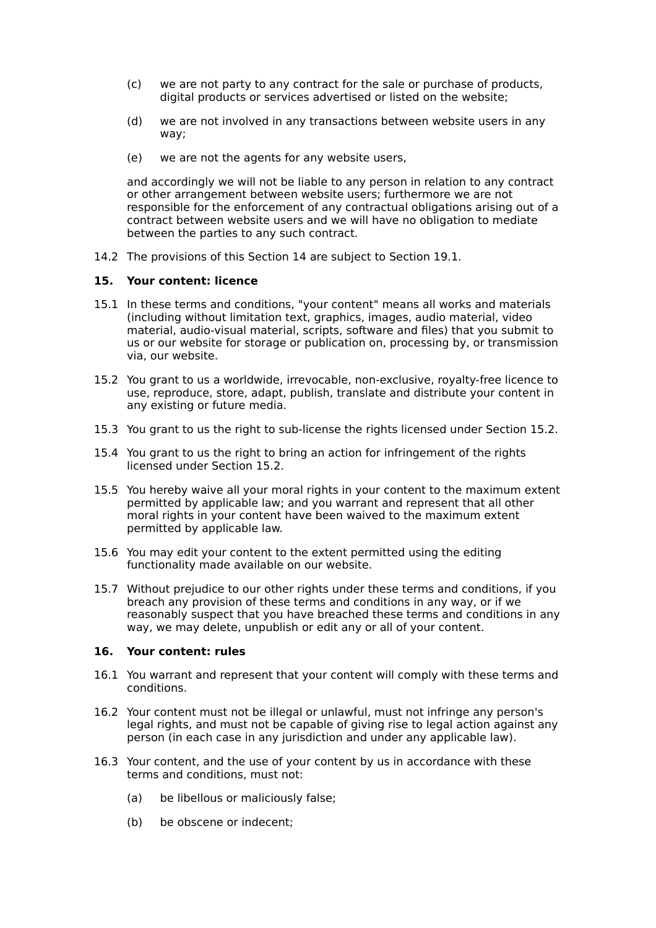- (c) we are not party to any contract for the sale or purchase of products, digital products or services advertised or listed on the website;
- (d) we are not involved in any transactions between website users in any way;
- (e) we are not the agents for any website users,

and accordingly we will not be liable to any person in relation to any contract or other arrangement between website users; furthermore we are not responsible for the enforcement of any contractual obligations arising out of a contract between website users and we will have no obligation to mediate between the parties to any such contract.

14.2 The provisions of this Section 14 are subject to Section 19.1.

## **15. Your content: licence**

- 15.1 In these terms and conditions, "your content" means all works and materials (including without limitation text, graphics, images, audio material, video material, audio-visual material, scripts, software and files) that you submit to us or our website for storage or publication on, processing by, or transmission via, our website.
- 15.2 You grant to us a worldwide, irrevocable, non-exclusive, royalty-free licence to use, reproduce, store, adapt, publish, translate and distribute your content in any existing or future media.
- 15.3 You grant to us the right to sub-license the rights licensed under Section 15.2.
- 15.4 You grant to us the right to bring an action for infringement of the rights licensed under Section 15.2.
- 15.5 You hereby waive all your moral rights in your content to the maximum extent permitted by applicable law; and you warrant and represent that all other moral rights in your content have been waived to the maximum extent permitted by applicable law.
- 15.6 You may edit your content to the extent permitted using the editing functionality made available on our website.
- 15.7 Without prejudice to our other rights under these terms and conditions, if you breach any provision of these terms and conditions in any way, or if we reasonably suspect that you have breached these terms and conditions in any way, we may delete, unpublish or edit any or all of your content.

## **16. Your content: rules**

- 16.1 You warrant and represent that your content will comply with these terms and conditions.
- 16.2 Your content must not be illegal or unlawful, must not infringe any person's legal rights, and must not be capable of giving rise to legal action against any person (in each case in any jurisdiction and under any applicable law).
- 16.3 Your content, and the use of your content by us in accordance with these terms and conditions, must not:
	- (a) be libellous or maliciously false;
	- (b) be obscene or indecent;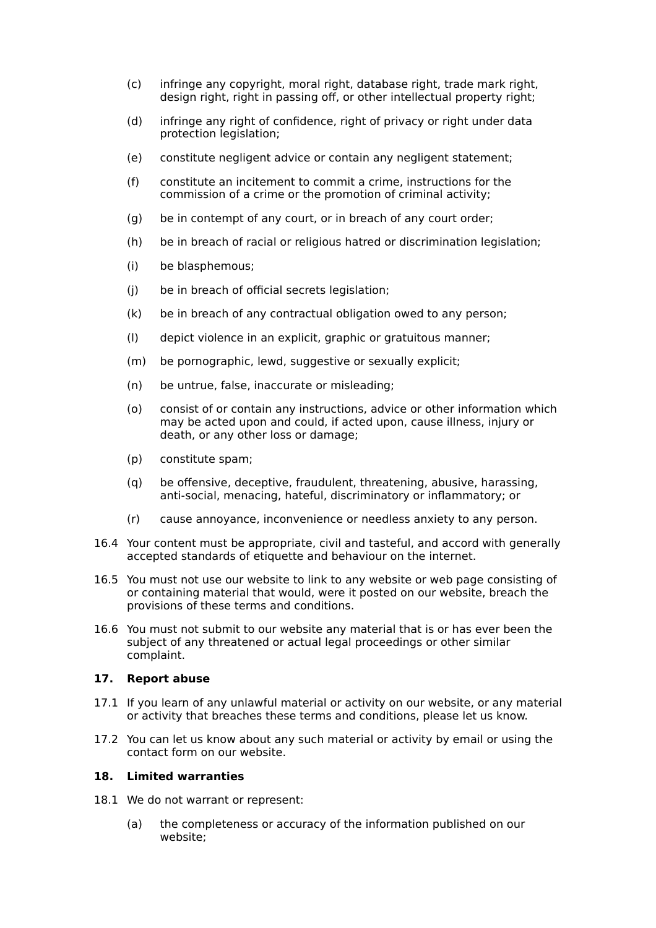- (c) infringe any copyright, moral right, database right, trade mark right, design right, right in passing off, or other intellectual property right;
- (d) infringe any right of confidence, right of privacy or right under data protection legislation;
- (e) constitute negligent advice or contain any negligent statement;
- (f) constitute an incitement to commit a crime, instructions for the commission of a crime or the promotion of criminal activity;
- (g) be in contempt of any court, or in breach of any court order;
- (h) be in breach of racial or religious hatred or discrimination legislation;
- (i) be blasphemous;
- (j) be in breach of official secrets legislation;
- (k) be in breach of any contractual obligation owed to any person;
- (l) depict violence in an explicit, graphic or gratuitous manner;
- (m) be pornographic, lewd, suggestive or sexually explicit;
- (n) be untrue, false, inaccurate or misleading;
- (o) consist of or contain any instructions, advice or other information which may be acted upon and could, if acted upon, cause illness, injury or death, or any other loss or damage;
- (p) constitute spam;
- (q) be offensive, deceptive, fraudulent, threatening, abusive, harassing, anti-social, menacing, hateful, discriminatory or inflammatory; or
- (r) cause annoyance, inconvenience or needless anxiety to any person.
- 16.4 Your content must be appropriate, civil and tasteful, and accord with generally accepted standards of etiquette and behaviour on the internet.
- 16.5 You must not use our website to link to any website or web page consisting of or containing material that would, were it posted on our website, breach the provisions of these terms and conditions.
- 16.6 You must not submit to our website any material that is or has ever been the subject of any threatened or actual legal proceedings or other similar complaint.

## **17. Report abuse**

- 17.1 If you learn of any unlawful material or activity on our website, or any material or activity that breaches these terms and conditions, please let us know.
- 17.2 You can let us know about any such material or activity by email or using the contact form on our website.

## **18. Limited warranties**

- 18.1 We do not warrant or represent:
	- (a) the completeness or accuracy of the information published on our website;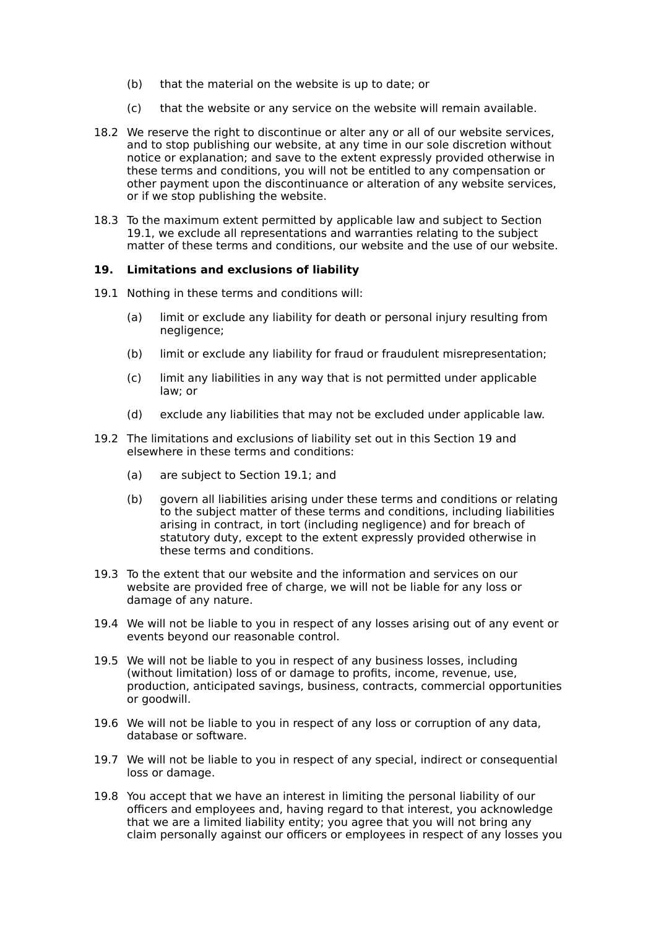- (b) that the material on the website is up to date; or
- (c) that the website or any service on the website will remain available.
- 18.2 We reserve the right to discontinue or alter any or all of our website services, and to stop publishing our website, at any time in our sole discretion without notice or explanation; and save to the extent expressly provided otherwise in these terms and conditions, you will not be entitled to any compensation or other payment upon the discontinuance or alteration of any website services, or if we stop publishing the website.
- 18.3 To the maximum extent permitted by applicable law and subject to Section 19.1, we exclude all representations and warranties relating to the subject matter of these terms and conditions, our website and the use of our website.

#### **19. Limitations and exclusions of liability**

- 19.1 Nothing in these terms and conditions will:
	- (a) limit or exclude any liability for death or personal injury resulting from negligence;
	- (b) limit or exclude any liability for fraud or fraudulent misrepresentation;
	- (c) limit any liabilities in any way that is not permitted under applicable law; or
	- (d) exclude any liabilities that may not be excluded under applicable law.
- 19.2 The limitations and exclusions of liability set out in this Section 19 and elsewhere in these terms and conditions:
	- (a) are subject to Section 19.1; and
	- (b) govern all liabilities arising under these terms and conditions or relating to the subject matter of these terms and conditions, including liabilities arising in contract, in tort (including negligence) and for breach of statutory duty, except to the extent expressly provided otherwise in these terms and conditions.
- 19.3 To the extent that our website and the information and services on our website are provided free of charge, we will not be liable for any loss or damage of any nature.
- 19.4 We will not be liable to you in respect of any losses arising out of any event or events beyond our reasonable control.
- 19.5 We will not be liable to you in respect of any business losses, including (without limitation) loss of or damage to profits, income, revenue, use, production, anticipated savings, business, contracts, commercial opportunities or goodwill.
- 19.6 We will not be liable to you in respect of any loss or corruption of any data, database or software.
- 19.7 We will not be liable to you in respect of any special, indirect or consequential loss or damage.
- 19.8 You accept that we have an interest in limiting the personal liability of our officers and employees and, having regard to that interest, you acknowledge that we are a limited liability entity; you agree that you will not bring any claim personally against our officers or employees in respect of any losses you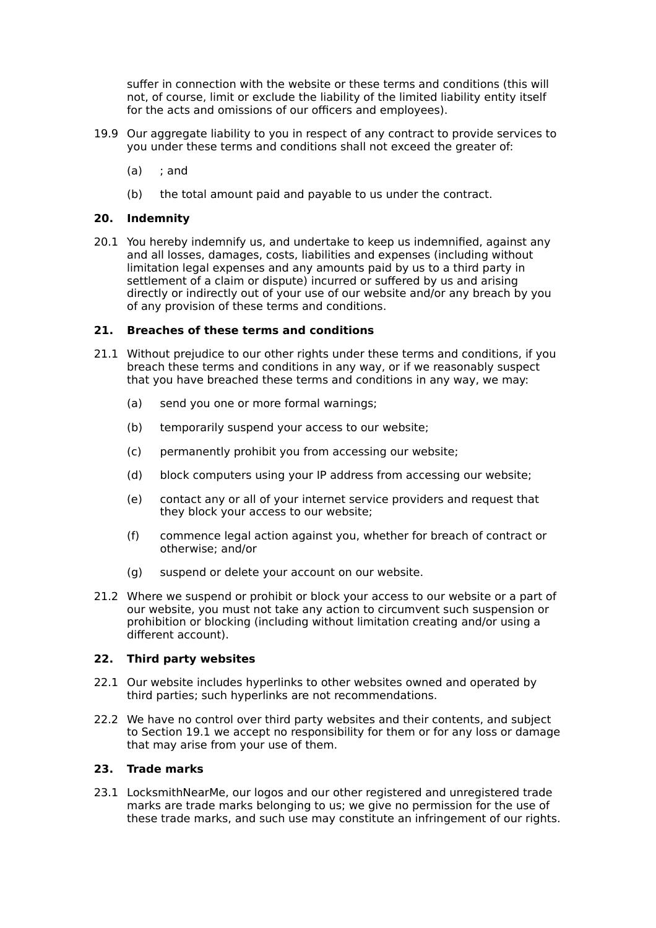suffer in connection with the website or these terms and conditions (this will not, of course, limit or exclude the liability of the limited liability entity itself for the acts and omissions of our officers and employees).

- 19.9 Our aggregate liability to you in respect of any contract to provide services to you under these terms and conditions shall not exceed the greater of:
	- $(a)$  : and
	- (b) the total amount paid and payable to us under the contract.

#### **20. Indemnity**

20.1 You hereby indemnify us, and undertake to keep us indemnified, against any and all losses, damages, costs, liabilities and expenses (including without limitation legal expenses and any amounts paid by us to a third party in settlement of a claim or dispute) incurred or suffered by us and arising directly or indirectly out of your use of our website and/or any breach by you of any provision of these terms and conditions.

#### **21. Breaches of these terms and conditions**

- 21.1 Without prejudice to our other rights under these terms and conditions, if you breach these terms and conditions in any way, or if we reasonably suspect that you have breached these terms and conditions in any way, we may:
	- (a) send you one or more formal warnings;
	- (b) temporarily suspend your access to our website;
	- (c) permanently prohibit you from accessing our website;
	- (d) block computers using your IP address from accessing our website;
	- (e) contact any or all of your internet service providers and request that they block your access to our website;
	- (f) commence legal action against you, whether for breach of contract or otherwise; and/or
	- (g) suspend or delete your account on our website.
- 21.2 Where we suspend or prohibit or block your access to our website or a part of our website, you must not take any action to circumvent such suspension or prohibition or blocking (including without limitation creating and/or using a different account).

## **22. Third party websites**

- 22.1 Our website includes hyperlinks to other websites owned and operated by third parties; such hyperlinks are not recommendations.
- 22.2 We have no control over third party websites and their contents, and subject to Section 19.1 we accept no responsibility for them or for any loss or damage that may arise from your use of them.

## **23. Trade marks**

23.1 LocksmithNearMe, our logos and our other registered and unregistered trade marks are trade marks belonging to us; we give no permission for the use of these trade marks, and such use may constitute an infringement of our rights.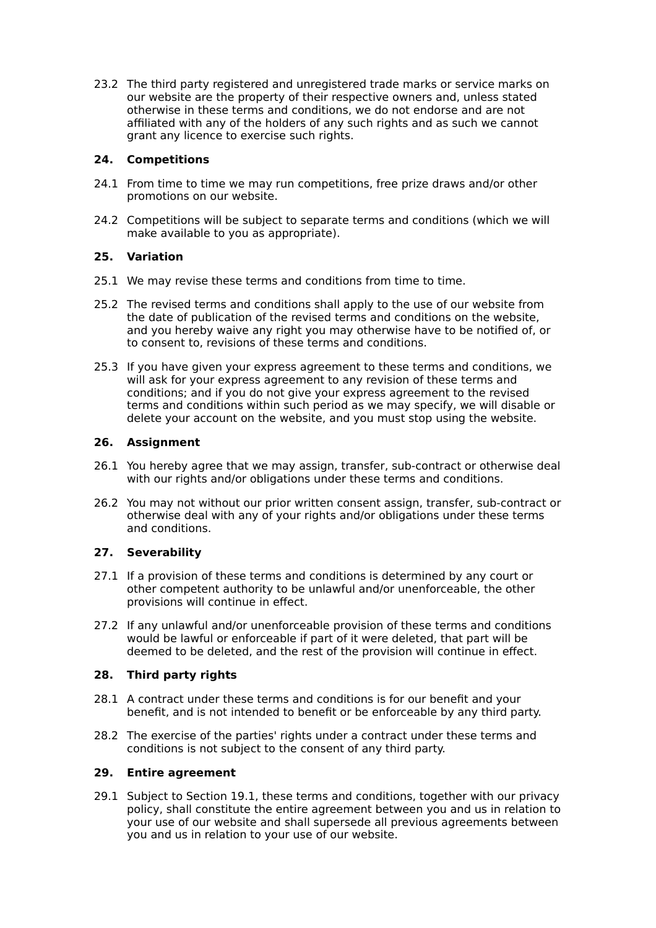23.2 The third party registered and unregistered trade marks or service marks on our website are the property of their respective owners and, unless stated otherwise in these terms and conditions, we do not endorse and are not affiliated with any of the holders of any such rights and as such we cannot grant any licence to exercise such rights.

# **24. Competitions**

- 24.1 From time to time we may run competitions, free prize draws and/or other promotions on our website.
- 24.2 Competitions will be subject to separate terms and conditions (which we will make available to you as appropriate).

# **25. Variation**

- 25.1 We may revise these terms and conditions from time to time.
- 25.2 The revised terms and conditions shall apply to the use of our website from the date of publication of the revised terms and conditions on the website, and you hereby waive any right you may otherwise have to be notified of, or to consent to, revisions of these terms and conditions.
- 25.3 If you have given your express agreement to these terms and conditions, we will ask for your express agreement to any revision of these terms and conditions; and if you do not give your express agreement to the revised terms and conditions within such period as we may specify, we will disable or delete your account on the website, and you must stop using the website.

# **26. Assignment**

- 26.1 You hereby agree that we may assign, transfer, sub-contract or otherwise deal with our rights and/or obligations under these terms and conditions.
- 26.2 You may not without our prior written consent assign, transfer, sub-contract or otherwise deal with any of your rights and/or obligations under these terms and conditions.

# **27. Severability**

- 27.1 If a provision of these terms and conditions is determined by any court or other competent authority to be unlawful and/or unenforceable, the other provisions will continue in effect.
- 27.2 If any unlawful and/or unenforceable provision of these terms and conditions would be lawful or enforceable if part of it were deleted, that part will be deemed to be deleted, and the rest of the provision will continue in effect.

## **28. Third party rights**

- 28.1 A contract under these terms and conditions is for our benefit and your benefit, and is not intended to benefit or be enforceable by any third party.
- 28.2 The exercise of the parties' rights under a contract under these terms and conditions is not subject to the consent of any third party.

## **29. Entire agreement**

29.1 Subject to Section 19.1, these terms and conditions, together with our privacy policy, shall constitute the entire agreement between you and us in relation to your use of our website and shall supersede all previous agreements between you and us in relation to your use of our website.